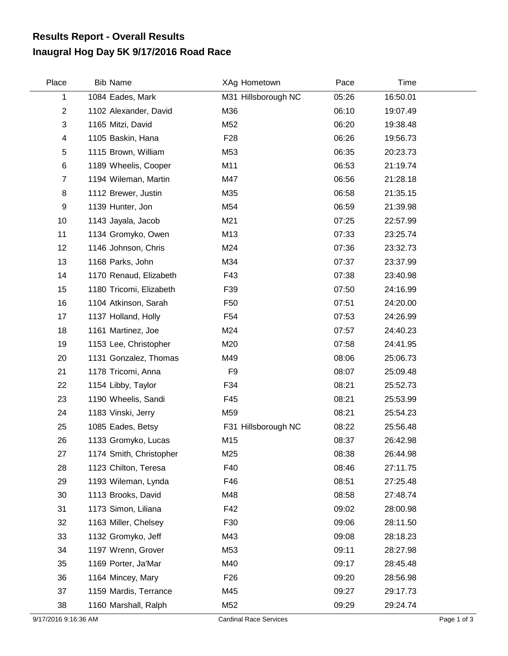## **Inaugral Hog Day 5K 9/17/2016 Road Race Results Report - Overall Results**

| Place          | <b>Bib Name</b>         | XAg Hometown        | Pace  | Time     |  |
|----------------|-------------------------|---------------------|-------|----------|--|
| 1              | 1084 Eades, Mark        | M31 Hillsborough NC | 05:26 | 16:50.01 |  |
| $\overline{c}$ | 1102 Alexander, David   | M36                 | 06:10 | 19:07.49 |  |
| 3              | 1165 Mitzi, David       | M52                 | 06:20 | 19:38.48 |  |
| 4              | 1105 Baskin, Hana       | F <sub>28</sub>     | 06:26 | 19:56.73 |  |
| 5              | 1115 Brown, William     | M53                 | 06:35 | 20:23.73 |  |
| 6              | 1189 Wheelis, Cooper    | M11                 | 06:53 | 21:19.74 |  |
| $\overline{7}$ | 1194 Wileman, Martin    | M47                 | 06:56 | 21:28.18 |  |
| 8              | 1112 Brewer, Justin     | M35                 | 06:58 | 21:35.15 |  |
| 9              | 1139 Hunter, Jon        | M54                 | 06:59 | 21:39.98 |  |
| 10             | 1143 Jayala, Jacob      | M21                 | 07:25 | 22:57.99 |  |
| 11             | 1134 Gromyko, Owen      | M13                 | 07:33 | 23:25.74 |  |
| 12             | 1146 Johnson, Chris     | M24                 | 07:36 | 23:32.73 |  |
| 13             | 1168 Parks, John        | M34                 | 07:37 | 23:37.99 |  |
| 14             | 1170 Renaud, Elizabeth  | F43                 | 07:38 | 23:40.98 |  |
| 15             | 1180 Tricomi, Elizabeth | F39                 | 07:50 | 24:16.99 |  |
| 16             | 1104 Atkinson, Sarah    | F <sub>50</sub>     | 07:51 | 24:20.00 |  |
| 17             | 1137 Holland, Holly     | F54                 | 07:53 | 24:26.99 |  |
| 18             | 1161 Martinez, Joe      | M24                 | 07:57 | 24:40.23 |  |
| 19             | 1153 Lee, Christopher   | M20                 | 07:58 | 24:41.95 |  |
| 20             | 1131 Gonzalez, Thomas   | M49                 | 08:06 | 25:06.73 |  |
| 21             | 1178 Tricomi, Anna      | F <sub>9</sub>      | 08:07 | 25:09.48 |  |
| 22             | 1154 Libby, Taylor      | F34                 | 08:21 | 25:52.73 |  |
| 23             | 1190 Wheelis, Sandi     | F45                 | 08:21 | 25:53.99 |  |
| 24             | 1183 Vinski, Jerry      | M59                 | 08:21 | 25:54.23 |  |
| 25             | 1085 Eades, Betsy       | F31 Hillsborough NC | 08:22 | 25:56.48 |  |
| 26             | 1133 Gromyko, Lucas     | M15                 | 08:37 | 26:42.98 |  |
| 27             | 1174 Smith, Christopher | M25                 | 08:38 | 26:44.98 |  |
| 28             | 1123 Chilton, Teresa    | F40                 | 08:46 | 27:11.75 |  |
| 29             | 1193 Wileman, Lynda     | F46                 | 08:51 | 27:25.48 |  |
| 30             | 1113 Brooks, David      | M48                 | 08:58 | 27:48.74 |  |
| 31             | 1173 Simon, Liliana     | F42                 | 09:02 | 28:00.98 |  |
| 32             | 1163 Miller, Chelsey    | F30                 | 09:06 | 28:11.50 |  |
| 33             | 1132 Gromyko, Jeff      | M43                 | 09:08 | 28:18.23 |  |
| 34             | 1197 Wrenn, Grover      | M53                 | 09:11 | 28:27.98 |  |
| 35             | 1169 Porter, Ja'Mar     | M40                 | 09:17 | 28:45.48 |  |
| 36             | 1164 Mincey, Mary       | F <sub>26</sub>     | 09:20 | 28:56.98 |  |
| 37             | 1159 Mardis, Terrance   | M45                 | 09:27 | 29:17.73 |  |
| 38             | 1160 Marshall, Ralph    | M52                 | 09:29 | 29:24.74 |  |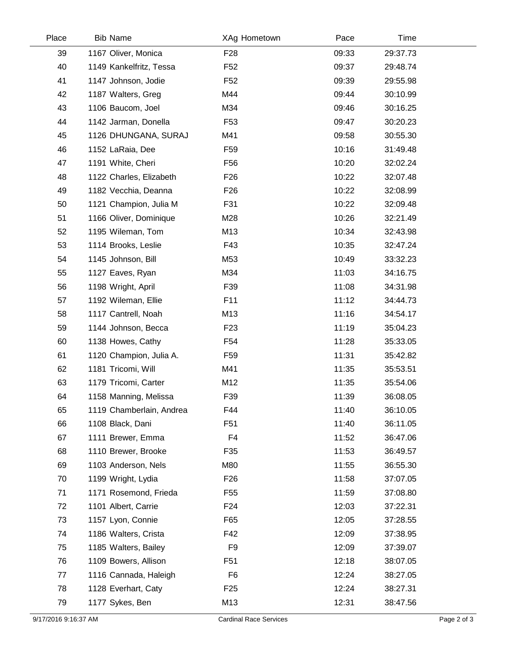| Place | <b>Bib Name</b>          | XAg Hometown    | Pace  | Time     |
|-------|--------------------------|-----------------|-------|----------|
| 39    | 1167 Oliver, Monica      | F <sub>28</sub> | 09:33 | 29:37.73 |
| 40    | 1149 Kankelfritz, Tessa  | F <sub>52</sub> | 09:37 | 29:48.74 |
| 41    | 1147 Johnson, Jodie      | F <sub>52</sub> | 09:39 | 29:55.98 |
| 42    | 1187 Walters, Greg       | M44             | 09:44 | 30:10.99 |
| 43    | 1106 Baucom, Joel        | M34             | 09:46 | 30:16.25 |
| 44    | 1142 Jarman, Donella     | F <sub>53</sub> | 09:47 | 30:20.23 |
| 45    | 1126 DHUNGANA, SURAJ     | M41             | 09:58 | 30:55.30 |
| 46    | 1152 LaRaia, Dee         | F <sub>59</sub> | 10:16 | 31:49.48 |
| 47    | 1191 White, Cheri        | F <sub>56</sub> | 10:20 | 32:02.24 |
| 48    | 1122 Charles, Elizabeth  | F <sub>26</sub> | 10:22 | 32:07.48 |
| 49    | 1182 Vecchia, Deanna     | F <sub>26</sub> | 10:22 | 32:08.99 |
| 50    | 1121 Champion, Julia M   | F31             | 10:22 | 32:09.48 |
| 51    | 1166 Oliver, Dominique   | M28             | 10:26 | 32:21.49 |
| 52    | 1195 Wileman, Tom        | M13             | 10:34 | 32:43.98 |
| 53    | 1114 Brooks, Leslie      | F43             | 10:35 | 32:47.24 |
| 54    | 1145 Johnson, Bill       | M53             | 10:49 | 33:32.23 |
| 55    | 1127 Eaves, Ryan         | M34             | 11:03 | 34:16.75 |
| 56    | 1198 Wright, April       | F39             | 11:08 | 34:31.98 |
| 57    | 1192 Wileman, Ellie      | F11             | 11:12 | 34:44.73 |
| 58    | 1117 Cantrell, Noah      | M13             | 11:16 | 34:54.17 |
| 59    | 1144 Johnson, Becca      | F <sub>23</sub> | 11:19 | 35:04.23 |
| 60    | 1138 Howes, Cathy        | F <sub>54</sub> | 11:28 | 35:33.05 |
| 61    | 1120 Champion, Julia A.  | F <sub>59</sub> | 11:31 | 35:42.82 |
| 62    | 1181 Tricomi, Will       | M41             | 11:35 | 35:53.51 |
| 63    | 1179 Tricomi, Carter     | M12             | 11:35 | 35:54.06 |
| 64    | 1158 Manning, Melissa    | F39             | 11:39 | 36:08.05 |
| 65    | 1119 Chamberlain, Andrea | F44             | 11:40 | 36:10.05 |
| 66    | 1108 Black, Dani         | F <sub>51</sub> | 11:40 | 36:11.05 |
| 67    | 1111 Brewer, Emma        | F4              | 11:52 | 36:47.06 |
| 68    | 1110 Brewer, Brooke      | F35             | 11:53 | 36:49.57 |
| 69    | 1103 Anderson, Nels      | M80             | 11:55 | 36:55.30 |
| 70    | 1199 Wright, Lydia       | F <sub>26</sub> | 11:58 | 37:07.05 |
| 71    | 1171 Rosemond, Frieda    | F <sub>55</sub> | 11:59 | 37:08.80 |
| 72    | 1101 Albert, Carrie      | F <sub>24</sub> | 12:03 | 37:22.31 |
| 73    | 1157 Lyon, Connie        | F65             | 12:05 | 37:28.55 |
| 74    | 1186 Walters, Crista     | F42             | 12:09 | 37:38.95 |
| 75    | 1185 Walters, Bailey     | F <sub>9</sub>  | 12:09 | 37:39.07 |
| 76    | 1109 Bowers, Allison     | F <sub>51</sub> | 12:18 | 38:07.05 |
| 77    | 1116 Cannada, Haleigh    | F <sub>6</sub>  | 12:24 | 38:27.05 |
| 78    | 1128 Everhart, Caty      | F <sub>25</sub> | 12:24 | 38:27.31 |
| 79    | 1177 Sykes, Ben          | M13             | 12:31 | 38:47.56 |
|       |                          |                 |       |          |